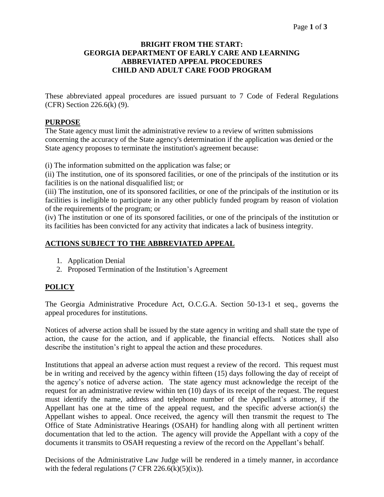#### **BRIGHT FROM THE START: GEORGIA DEPARTMENT OF EARLY CARE AND LEARNING ABBREVIATED APPEAL PROCEDURES CHILD AND ADULT CARE FOOD PROGRAM**

These abbreviated appeal procedures are issued pursuant to 7 Code of Federal Regulations (CFR) Section 226.6(k) (9).

## **PURPOSE**

The State agency must limit the administrative review to a review of written submissions concerning the accuracy of the State agency's determination if the application was denied or the State agency proposes to terminate the institution's agreement because:

(i) The information submitted on the application was false; or

(ii) The institution, one of its sponsored facilities, or one of the principals of the institution or its facilities is on the national disqualified list; or

(iii) The institution, one of its sponsored facilities, or one of the principals of the institution or its facilities is ineligible to participate in any other publicly funded program by reason of violation of the requirements of the program; or

(iv) The institution or one of its sponsored facilities, or one of the principals of the institution or its facilities has been convicted for any activity that indicates a lack of business integrity.

## **ACTIONS SUBJECT TO THE ABBREVIATED APPEAL**

- 1. Application Denial
- 2. Proposed Termination of the Institution's Agreement

# **POLICY**

The Georgia Administrative Procedure Act, O.C.G.A. Section 50-13-1 et seq., governs the appeal procedures for institutions.

Notices of adverse action shall be issued by the state agency in writing and shall state the type of action, the cause for the action, and if applicable, the financial effects. Notices shall also describe the institution's right to appeal the action and these procedures.

Institutions that appeal an adverse action must request a review of the record. This request must be in writing and received by the agency within fifteen (15) days following the day of receipt of the agency's notice of adverse action. The state agency must acknowledge the receipt of the request for an administrative review within ten (10) days of its receipt of the request. The request must identify the name, address and telephone number of the Appellant's attorney, if the Appellant has one at the time of the appeal request, and the specific adverse action(s) the Appellant wishes to appeal. Once received, the agency will then transmit the request to The Office of State Administrative Hearings (OSAH) for handling along with all pertinent written documentation that led to the action. The agency will provide the Appellant with a copy of the documents it transmits to OSAH requesting a review of the record on the Appellant's behalf.

Decisions of the Administrative Law Judge will be rendered in a timely manner, in accordance with the federal regulations (7 CFR  $226.6(k)(5)(ix)$ ).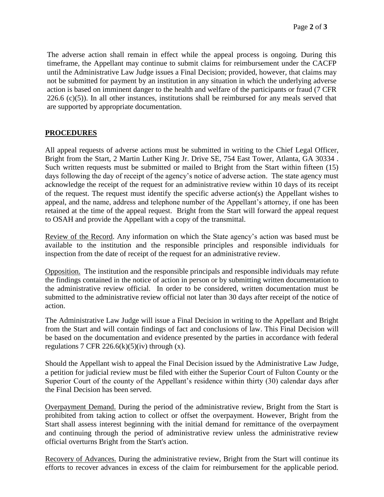The adverse action shall remain in effect while the appeal process is ongoing. During this timeframe, the Appellant may continue to submit claims for reimbursement under the CACFP until the Administrative Law Judge issues a Final Decision; provided, however, that claims may not be submitted for payment by an institution in any situation in which the underlying adverse action is based on imminent danger to the health and welfare of the participants or fraud (7 CFR  $226.6$  (c)(5)). In all other instances, institutions shall be reimbursed for any meals served that are supported by appropriate documentation.

## **PROCEDURES**

All appeal requests of adverse actions must be submitted in writing to the Chief Legal Officer, Bright from the Start, 2 Martin Luther King Jr. Drive SE, 754 East Tower, Atlanta, GA 30334 . Such written requests must be submitted or mailed to Bright from the Start within fifteen (15) days following the day of receipt of the agency's notice of adverse action. The state agency must acknowledge the receipt of the request for an administrative review within 10 days of its receipt of the request. The request must identify the specific adverse action(s) the Appellant wishes to appeal, and the name, address and telephone number of the Appellant's attorney, if one has been retained at the time of the appeal request. Bright from the Start will forward the appeal request to OSAH and provide the Appellant with a copy of the transmittal.

Review of the Record. Any information on which the State agency's action was based must be available to the institution and the responsible principles and responsible individuals for inspection from the date of receipt of the request for an administrative review.

Opposition. The institution and the responsible principals and responsible individuals may refute the findings contained in the notice of action in person or by submitting written documentation to the administrative review official. In order to be considered, written documentation must be submitted to the administrative review official not later than 30 days after receipt of the notice of action.

The Administrative Law Judge will issue a Final Decision in writing to the Appellant and Bright from the Start and will contain findings of fact and conclusions of law. This Final Decision will be based on the documentation and evidence presented by the parties in accordance with federal regulations 7 CFR 226.6(k)(5)(iv) through  $(x)$ .

Should the Appellant wish to appeal the Final Decision issued by the Administrative Law Judge, a petition for judicial review must be filed with either the Superior Court of Fulton County or the Superior Court of the county of the Appellant's residence within thirty (30) calendar days after the Final Decision has been served.

Overpayment Demand. During the period of the administrative review, Bright from the Start is prohibited from taking action to collect or offset the overpayment. However, Bright from the Start shall assess interest beginning with the initial demand for remittance of the overpayment and continuing through the period of administrative review unless the administrative review official overturns Bright from the Start's action.

Recovery of Advances. During the administrative review, Bright from the Start will continue its efforts to recover advances in excess of the claim for reimbursement for the applicable period.